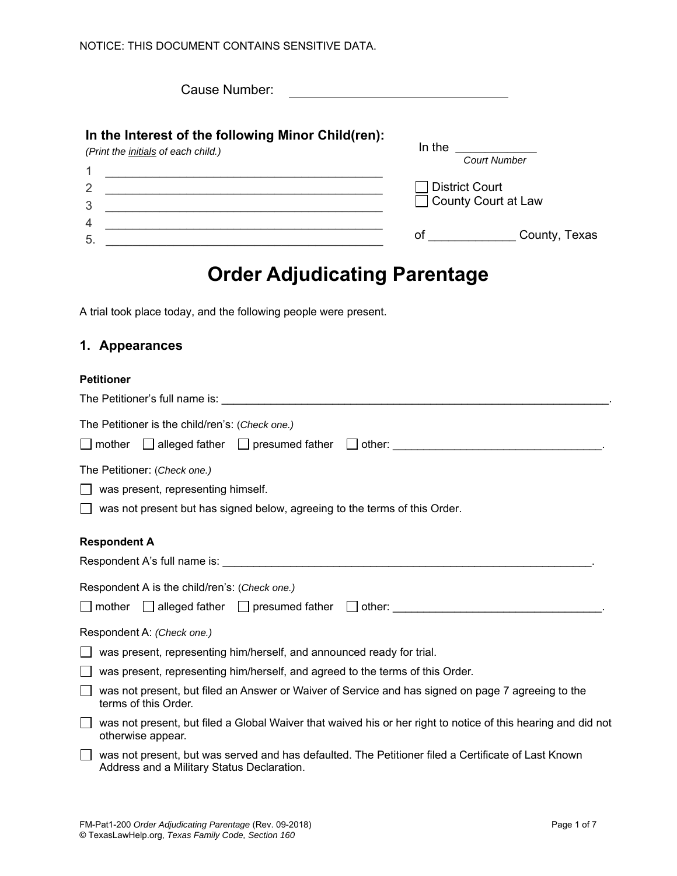Cause Number:

In the **count of the structure of the structure**  $\mathbf{C}$ 

## **In the Interest of the following Minor Child(ren):**

*(Print the initials of each child.)* 

| ◢              | <b>Court Number</b>   |
|----------------|-----------------------|
| $\overline{2}$ | District Court        |
| 3              | □ County Court at Law |
| 4              |                       |
| 5.             | County, Texas<br>O1   |

# **Order Adjudicating Parentage**

A trial took place today, and the following people were present.

### **1. Appearances**

#### **Petitioner**

| The Petitioner is the child/ren's: (Check one.)                                                                                                   |
|---------------------------------------------------------------------------------------------------------------------------------------------------|
| The Petitioner: (Check one.)<br>was present, representing himself.<br>was not present but has signed below, agreeing to the terms of this Order.  |
| <b>Respondent A</b>                                                                                                                               |
|                                                                                                                                                   |
| Respondent A is the child/ren's: (Check one.)                                                                                                     |
|                                                                                                                                                   |
| Respondent A: (Check one.)                                                                                                                        |
| was present, representing him/herself, and announced ready for trial.                                                                             |
| was present, representing him/herself, and agreed to the terms of this Order.                                                                     |
| was not present, but filed an Answer or Waiver of Service and has signed on page 7 agreeing to the<br>terms of this Order.                        |
| was not present, but filed a Global Waiver that waived his or her right to notice of this hearing and did not<br>otherwise appear.                |
| was not present, but was served and has defaulted. The Petitioner filed a Certificate of Last Known<br>Address and a Military Status Declaration. |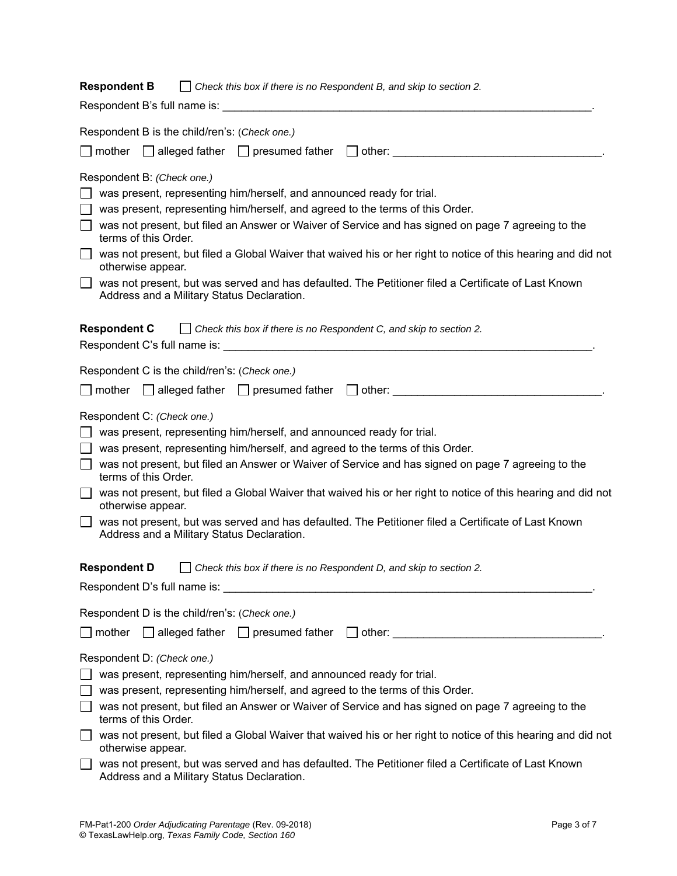| <b>Respondent B</b><br>Check this box if there is no Respondent B, and skip to section 2.<br>$\perp$                                                                                                                                                                                                                                                                                                                                                                                                                                                                                                          |
|---------------------------------------------------------------------------------------------------------------------------------------------------------------------------------------------------------------------------------------------------------------------------------------------------------------------------------------------------------------------------------------------------------------------------------------------------------------------------------------------------------------------------------------------------------------------------------------------------------------|
|                                                                                                                                                                                                                                                                                                                                                                                                                                                                                                                                                                                                               |
| Respondent B is the child/ren's: (Check one.)                                                                                                                                                                                                                                                                                                                                                                                                                                                                                                                                                                 |
| $\Box$ mother $\Box$ alleged father $\Box$ presumed father $\Box$ other:                                                                                                                                                                                                                                                                                                                                                                                                                                                                                                                                      |
| Respondent B: (Check one.)<br>was present, representing him/herself, and announced ready for trial.<br>was present, representing him/herself, and agreed to the terms of this Order.<br>was not present, but filed an Answer or Waiver of Service and has signed on page 7 agreeing to the<br>terms of this Order.<br>was not present, but filed a Global Waiver that waived his or her right to notice of this hearing and did not<br>otherwise appear.<br>was not present, but was served and has defaulted. The Petitioner filed a Certificate of Last Known<br>Address and a Military Status Declaration. |
| <b>Respondent C</b> $\Box$ Check this box if there is no Respondent C, and skip to section 2.                                                                                                                                                                                                                                                                                                                                                                                                                                                                                                                 |
| Respondent C is the child/ren's: (Check one.)                                                                                                                                                                                                                                                                                                                                                                                                                                                                                                                                                                 |
|                                                                                                                                                                                                                                                                                                                                                                                                                                                                                                                                                                                                               |
| Respondent C: (Check one.)<br>was present, representing him/herself, and announced ready for trial.<br>was present, representing him/herself, and agreed to the terms of this Order.<br>was not present, but filed an Answer or Waiver of Service and has signed on page 7 agreeing to the<br>terms of this Order.<br>was not present, but filed a Global Waiver that waived his or her right to notice of this hearing and did not<br>otherwise appear.<br>was not present, but was served and has defaulted. The Petitioner filed a Certificate of Last Known<br>Address and a Military Status Declaration. |
| <b>Respondent D</b><br>Check this box if there is no Respondent D, and skip to section 2.                                                                                                                                                                                                                                                                                                                                                                                                                                                                                                                     |
| Respondent D's full name is: We have the control of the control of the control of the control of the control of the control of the control of the control of the control of the control of the control of the control of the c                                                                                                                                                                                                                                                                                                                                                                                |
| Respondent D is the child/ren's: (Check one.)                                                                                                                                                                                                                                                                                                                                                                                                                                                                                                                                                                 |
| mother $\Box$ alleged father $\Box$ presumed father $\Box$ other:                                                                                                                                                                                                                                                                                                                                                                                                                                                                                                                                             |
| Respondent D: (Check one.)<br>was present, representing him/herself, and announced ready for trial.<br>was present, representing him/herself, and agreed to the terms of this Order.<br>was not present, but filed an Answer or Waiver of Service and has signed on page 7 agreeing to the<br>terms of this Order.<br>was not present, but filed a Global Waiver that waived his or her right to notice of this hearing and did not<br>otherwise appear.                                                                                                                                                      |
| was not present, but was served and has defaulted. The Petitioner filed a Certificate of Last Known<br>Address and a Military Status Declaration.                                                                                                                                                                                                                                                                                                                                                                                                                                                             |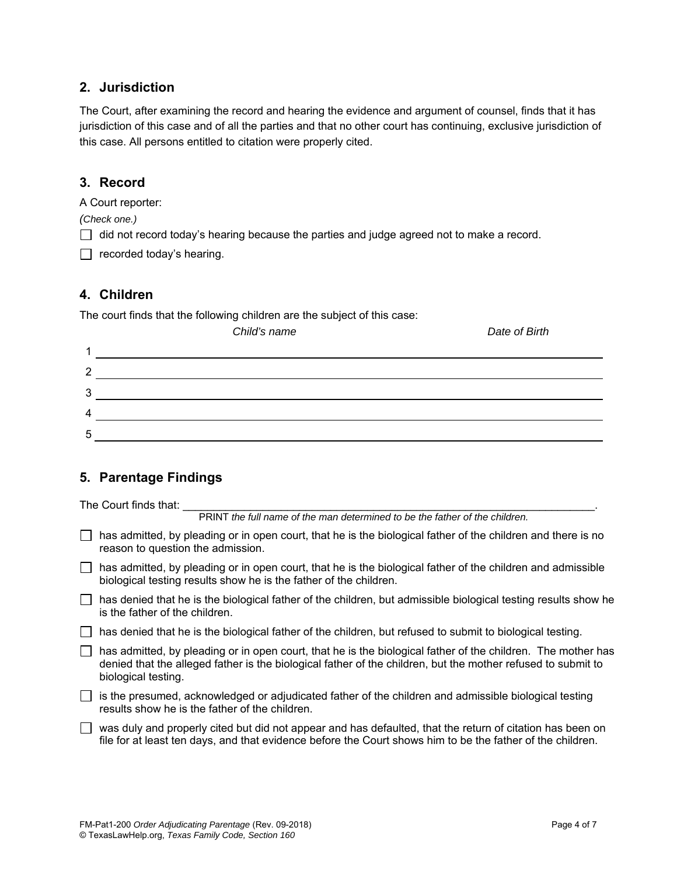## **2. Jurisdiction**

The Court, after examining the record and hearing the evidence and argument of counsel, finds that it has jurisdiction of this case and of all the parties and that no other court has continuing, exclusive jurisdiction of this case. All persons entitled to citation were properly cited.

## **3. Record**

A Court reporter:

*(Check one.)* 

 $\Box$  did not record today's hearing because the parties and judge agreed not to make a record.

 $\Box$  recorded today's hearing.

## **4. Children**

The court finds that the following children are the subject of this case:

|              | Child's name | Date of Birth |
|--------------|--------------|---------------|
|              |              |               |
| ◠            |              |               |
| ≏<br>$\cdot$ |              |               |
| 4            |              |               |
| 5            |              |               |

## **5. Parentage Findings**

The Court finds that:

PRINT *the full name of the man determined to be the father of the children.* 

 $\Box$  has admitted, by pleading or in open court, that he is the biological father of the children and there is no reason to question the admission.

 $\Box$  has admitted, by pleading or in open court, that he is the biological father of the children and admissible biological testing results show he is the father of the children.

- $\Box$  has denied that he is the biological father of the children, but admissible biological testing results show he is the father of the children.
- $\Box$  has denied that he is the biological father of the children, but refused to submit to biological testing.
- has admitted, by pleading or in open court, that he is the biological father of the children. The mother has denied that the alleged father is the biological father of the children, but the mother refused to submit to biological testing.

 $\Box$  is the presumed, acknowledged or adjudicated father of the children and admissible biological testing results show he is the father of the children.

 $\Box$  was duly and properly cited but did not appear and has defaulted, that the return of citation has been on file for at least ten days, and that evidence before the Court shows him to be the father of the children.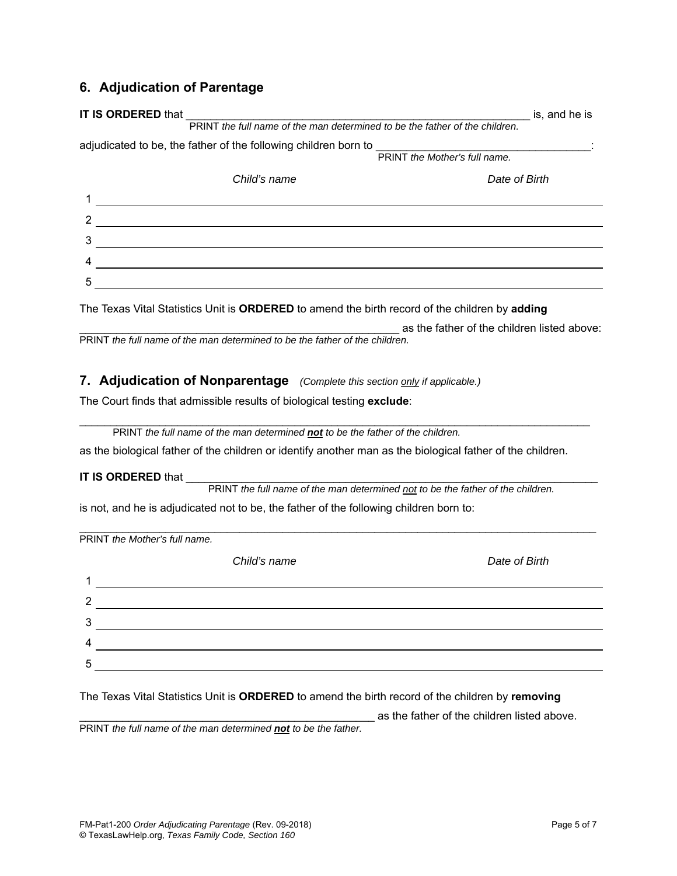## **6. Adjudication of Parentage**

| <b>IT IS ORDERED that</b>                                                   | is, and he is                 |  |  |  |  |
|-----------------------------------------------------------------------------|-------------------------------|--|--|--|--|
| PRINT the full name of the man determined to be the father of the children. |                               |  |  |  |  |
| adjudicated to be, the father of the following children born to             |                               |  |  |  |  |
|                                                                             | PRINT the Mother's full name. |  |  |  |  |
| Child's name                                                                | Date of Birth                 |  |  |  |  |
|                                                                             |                               |  |  |  |  |
|                                                                             |                               |  |  |  |  |
|                                                                             |                               |  |  |  |  |
|                                                                             |                               |  |  |  |  |
| 5                                                                           |                               |  |  |  |  |
|                                                                             |                               |  |  |  |  |

The Texas Vital Statistics Unit is **ORDERED** to amend the birth record of the children by **adding**

as the father of the children listed above:

PRINT *the full name of the man determined to be the father of the children.* 

#### **7. Adjudication of Nonparentage** *(Complete this section only if applicable.)*

The Court finds that admissible results of biological testing **exclude**:

| PRINT the full name of the man determined <b>not</b> to be the father of the children. |
|----------------------------------------------------------------------------------------|
|----------------------------------------------------------------------------------------|

as the biological father of the children or identify another man as the biological father of the children.

\_\_\_\_\_\_\_\_\_\_\_\_\_\_\_\_\_\_\_\_\_\_\_\_\_\_\_\_\_\_\_\_\_\_\_\_\_\_\_\_\_\_\_\_\_\_\_\_\_\_\_\_\_\_\_\_\_\_\_\_\_\_\_\_\_\_\_\_\_\_\_\_\_\_\_\_\_\_\_\_\_\_\_

#### **IT IS ORDERED that**

PRINT *the full name of the man determined not to be the father of the children.* 

is not, and he is adjudicated not to be, the father of the following children born to:

|   | PRINT the Mother's full name. |               |  |  |  |  |
|---|-------------------------------|---------------|--|--|--|--|
|   | Child's name                  | Date of Birth |  |  |  |  |
|   |                               |               |  |  |  |  |
| າ |                               |               |  |  |  |  |
| 3 |                               |               |  |  |  |  |
| 4 |                               |               |  |  |  |  |
| 5 |                               |               |  |  |  |  |
|   |                               |               |  |  |  |  |

\_\_\_\_\_\_\_\_\_\_\_\_\_\_\_\_\_\_\_\_\_\_\_\_\_\_\_\_\_\_\_\_\_\_\_\_\_\_\_\_\_\_\_\_\_\_\_\_\_\_\_\_\_\_\_\_\_\_\_\_\_\_\_\_\_\_\_\_\_\_\_\_\_\_\_\_\_\_\_\_\_\_\_\_

The Texas Vital Statistics Unit is **ORDERED** to amend the birth record of the children by **removing** 

as the father of the children listed above.

PRINT *the full name of the man determined not to be the father.*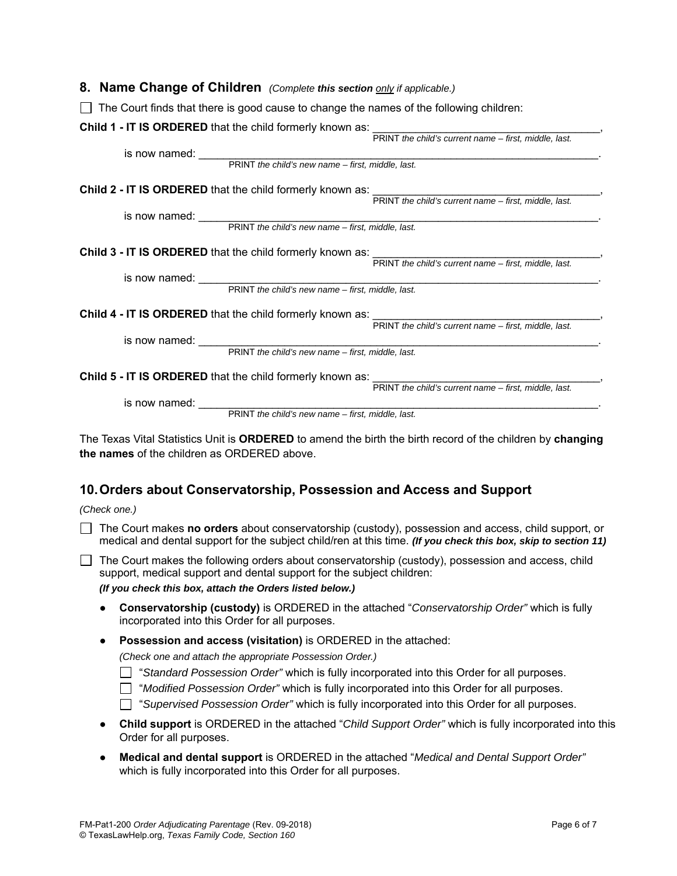#### **8. Name Change of Children** *(Complete this section only if applicable.)*

| $\Box$ The Court finds that there is good cause to change the names of the following children:                                                   |
|--------------------------------------------------------------------------------------------------------------------------------------------------|
| Child 1 - IT IS ORDERED that the child formerly known as:<br>PRINT the child's current name – first, middle, last.                               |
|                                                                                                                                                  |
| is now named: PRINT the child's new name - first, middle, last.                                                                                  |
|                                                                                                                                                  |
| Child 2 - IT IS ORDERED that the child formerly known as:<br>PRINT the child's current name – first, middle, last.                               |
|                                                                                                                                                  |
| is now named: PRINT the child's new name - first, middle, last.                                                                                  |
|                                                                                                                                                  |
| Child 3 - IT IS ORDERED that the child formerly known as:<br>PRINT the child's current name – first, middle, last.                               |
|                                                                                                                                                  |
| is now named: PRINT the child's new name – first, middle, last.                                                                                  |
|                                                                                                                                                  |
| <b>Child 4 - IT IS ORDERED</b> that the child formerly known as: $\frac{1}{\text{PRINT the child's current name} - \text{first, middle, last.}}$ |
|                                                                                                                                                  |
|                                                                                                                                                  |
|                                                                                                                                                  |
| Child 5 - IT IS ORDERED that the child formerly known as:<br>PRINT the child's current name – first, middle, last.                               |
|                                                                                                                                                  |
| is now named: FRINT the child's new name - first, middle, last.                                                                                  |
|                                                                                                                                                  |
|                                                                                                                                                  |

The Texas Vital Statistics Unit is **ORDERED** to amend the birth the birth record of the children by **changing the names** of the children as ORDERED above.

### **10. Orders about Conservatorship, Possession and Access and Support**

*(Check one.)* 

 The Court makes **no orders** about conservatorship (custody), possession and access, child support, or medical and dental support for the subject child/ren at this time. *(If you check this box, skip to section 11)*

 $\Box$  The Court makes the following orders about conservatorship (custody), possession and access, child support, medical support and dental support for the subject children:

 *(If you check this box, attach the Orders listed below.)* 

- **Conservatorship (custody)** is ORDERED in the attached "*Conservatorship Order"* which is fully incorporated into this Order for all purposes.
- **Possession and access (visitation)** is ORDERED in the attached:

*(Check one and attach the appropriate Possession Order.)* 

- "*Standard Possession Order"* which is fully incorporated into this Order for all purposes.
- "*Modified Possession Order"* which is fully incorporated into this Order for all purposes.
- "*Supervised Possession Order"* which is fully incorporated into this Order for all purposes.
- **Child support** is ORDERED in the attached "*Child Support Order"* which is fully incorporated into this Order for all purposes.
- **Medical and dental support** is ORDERED in the attached "*Medical and Dental Support Order"* which is fully incorporated into this Order for all purposes.